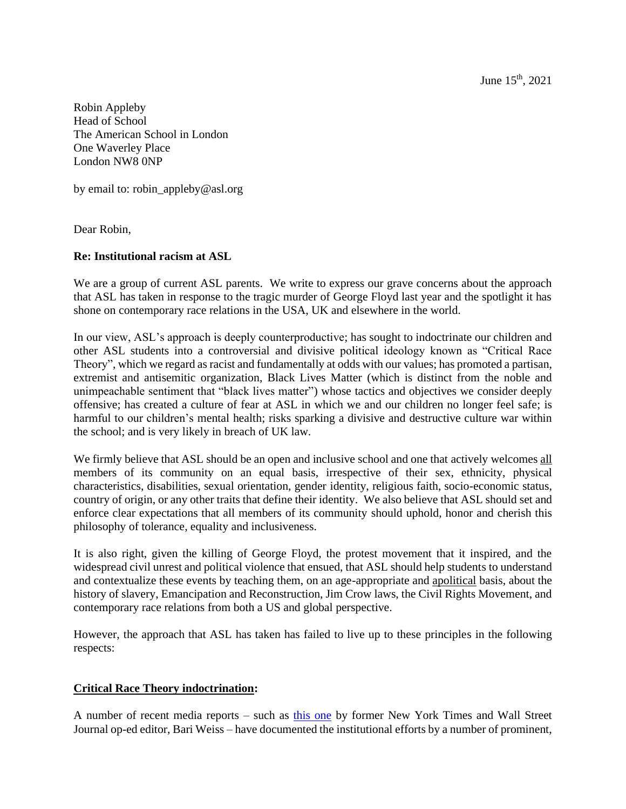June  $15^{th}$ , 2021

Robin Appleby Head of School The American School in London One Waverley Place London NW8 0NP

by email to: robin\_appleby@asl.org

Dear Robin,

### **Re: Institutional racism at ASL**

We are a group of current ASL parents. We write to express our grave concerns about the approach that ASL has taken in response to the tragic murder of George Floyd last year and the spotlight it has shone on contemporary race relations in the USA, UK and elsewhere in the world.

In our view, ASL's approach is deeply counterproductive; has sought to indoctrinate our children and other ASL students into a controversial and divisive political ideology known as "Critical Race Theory", which we regard as racist and fundamentally at odds with our values; has promoted a partisan, extremist and antisemitic organization, Black Lives Matter (which is distinct from the noble and unimpeachable sentiment that "black lives matter") whose tactics and objectives we consider deeply offensive; has created a culture of fear at ASL in which we and our children no longer feel safe; is harmful to our children's mental health; risks sparking a divisive and destructive culture war within the school; and is very likely in breach of UK law.

We firmly believe that ASL should be an open and inclusive school and one that actively welcomes all members of its community on an equal basis, irrespective of their sex, ethnicity, physical characteristics, disabilities, sexual orientation, gender identity, religious faith, socio-economic status, country of origin, or any other traits that define their identity. We also believe that ASL should set and enforce clear expectations that all members of its community should uphold, honor and cherish this philosophy of tolerance, equality and inclusiveness.

It is also right, given the killing of George Floyd, the protest movement that it inspired, and the widespread civil unrest and political violence that ensued, that ASL should help students to understand and contextualize these events by teaching them, on an age-appropriate and apolitical basis, about the history of slavery, Emancipation and Reconstruction, Jim Crow laws, the Civil Rights Movement, and contemporary race relations from both a US and global perspective.

However, the approach that ASL has taken has failed to live up to these principles in the following respects:

# **Critical Race Theory indoctrination:**

A number of recent media reports – such as [this one](https://www.city-journal.org/the-miseducation-of-americas-elites) by former New York Times and Wall Street Journal op-ed editor, Bari Weiss – have documented the institutional efforts by a number of prominent,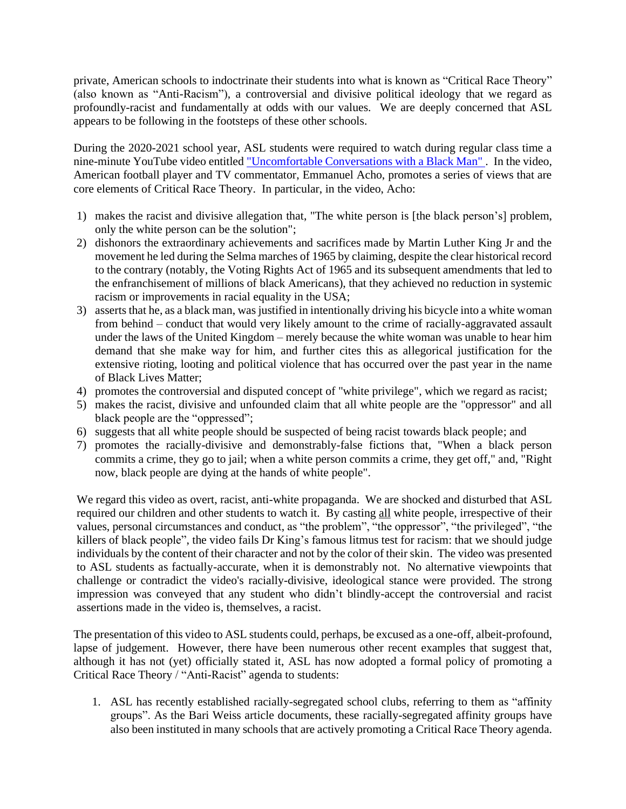private, American schools to indoctrinate their students into what is known as "Critical Race Theory" (also known as "Anti-Racism"), a controversial and divisive political ideology that we regard as profoundly-racist and fundamentally at odds with our values. We are deeply concerned that ASL appears to be following in the footsteps of these other schools.

During the 2020-2021 school year, ASL students were required to watch during regular class time a nine-minute YouTube video entitled ["Uncomfortable Conversations with a Black Man" .](https://www.youtube.com/watch?feature=share&v=h8jUA7JBkF4&app=desktop) In the video, American football player and TV commentator, Emmanuel Acho, promotes a series of views that are core elements of Critical Race Theory. In particular, in the video, Acho:

- 1) makes the racist and divisive allegation that, "The white person is [the black person's] problem, only the white person can be the solution";
- 2) dishonors the extraordinary achievements and sacrifices made by Martin Luther King Jr and the movement he led during the Selma marches of 1965 by claiming, despite the clear historical record to the contrary (notably, the Voting Rights Act of 1965 and its subsequent amendments that led to the enfranchisement of millions of black Americans), that they achieved no reduction in systemic racism or improvements in racial equality in the USA;
- 3) asserts that he, as a black man, was justified in intentionally driving his bicycle into a white woman from behind – conduct that would very likely amount to the crime of racially-aggravated assault under the laws of the United Kingdom – merely because the white woman was unable to hear him demand that she make way for him, and further cites this as allegorical justification for the extensive rioting, looting and political violence that has occurred over the past year in the name of Black Lives Matter;
- 4) promotes the controversial and disputed concept of "white privilege", which we regard as racist;
- 5) makes the racist, divisive and unfounded claim that all white people are the "oppressor" and all black people are the "oppressed";
- 6) suggests that all white people should be suspected of being racist towards black people; and
- 7) promotes the racially-divisive and demonstrably-false fictions that, "When a black person commits a crime, they go to jail; when a white person commits a crime, they get off," and, "Right now, black people are dying at the hands of white people".

We regard this video as overt, racist, anti-white propaganda. We are shocked and disturbed that ASL required our children and other students to watch it. By casting all white people, irrespective of their values, personal circumstances and conduct, as "the problem", "the oppressor", "the privileged", "the killers of black people", the video fails Dr King's famous litmus test for racism: that we should judge individuals by the content of their character and not by the color of their skin. The video was presented to ASL students as factually-accurate, when it is demonstrably not. No alternative viewpoints that challenge or contradict the video's racially-divisive, ideological stance were provided. The strong impression was conveyed that any student who didn't blindly-accept the controversial and racist assertions made in the video is, themselves, a racist.

The presentation of this video to ASL students could, perhaps, be excused as a one-off, albeit-profound, lapse of judgement. However, there have been numerous other recent examples that suggest that, although it has not (yet) officially stated it, ASL has now adopted a formal policy of promoting a Critical Race Theory / "Anti-Racist" agenda to students:

1. ASL has recently established racially-segregated school clubs, referring to them as "affinity groups". As the Bari Weiss article documents, these racially-segregated affinity groups have also been instituted in many schools that are actively promoting a Critical Race Theory agenda.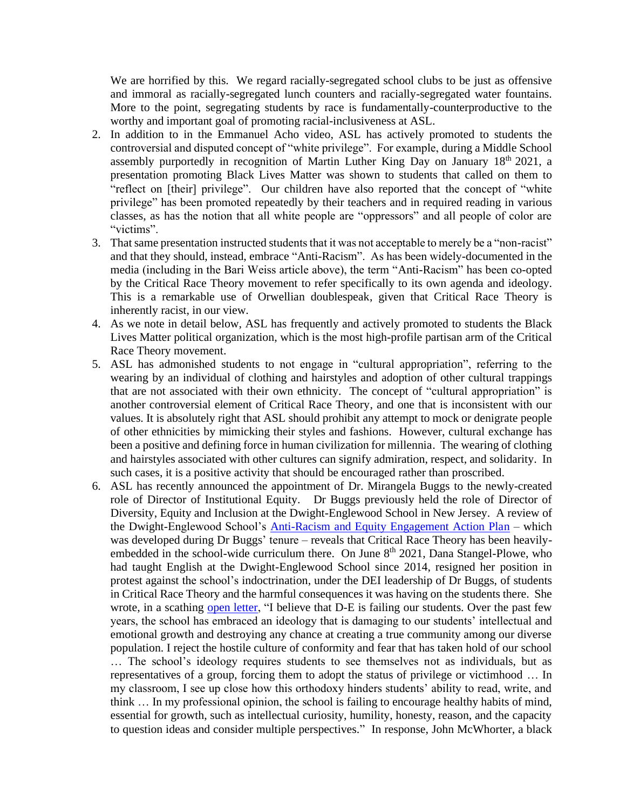We are horrified by this. We regard racially-segregated school clubs to be just as offensive and immoral as racially-segregated lunch counters and racially-segregated water fountains. More to the point, segregating students by race is fundamentally-counterproductive to the worthy and important goal of promoting racial-inclusiveness at ASL.

- 2. In addition to in the Emmanuel Acho video, ASL has actively promoted to students the controversial and disputed concept of "white privilege". For example, during a Middle School assembly purportedly in recognition of Martin Luther King Day on January  $18<sup>th</sup> 2021$ , a presentation promoting Black Lives Matter was shown to students that called on them to "reflect on [their] privilege". Our children have also reported that the concept of "white privilege" has been promoted repeatedly by their teachers and in required reading in various classes, as has the notion that all white people are "oppressors" and all people of color are "victims".
- 3. That same presentation instructed students that it was not acceptable to merely be a "non-racist" and that they should, instead, embrace "Anti-Racism". As has been widely-documented in the media (including in the Bari Weiss article above), the term "Anti-Racism" has been co-opted by the Critical Race Theory movement to refer specifically to its own agenda and ideology. This is a remarkable use of Orwellian doublespeak, given that Critical Race Theory is inherently racist, in our view.
- 4. As we note in detail below, ASL has frequently and actively promoted to students the Black Lives Matter political organization, which is the most high-profile partisan arm of the Critical Race Theory movement.
- 5. ASL has admonished students to not engage in "cultural appropriation", referring to the wearing by an individual of clothing and hairstyles and adoption of other cultural trappings that are not associated with their own ethnicity. The concept of "cultural appropriation" is another controversial element of Critical Race Theory, and one that is inconsistent with our values. It is absolutely right that ASL should prohibit any attempt to mock or denigrate people of other ethnicities by mimicking their styles and fashions. However, cultural exchange has been a positive and defining force in human civilization for millennia. The wearing of clothing and hairstyles associated with other cultures can signify admiration, respect, and solidarity. In such cases, it is a positive activity that should be encouraged rather than proscribed.
- 6. ASL has recently announced the appointment of Dr. Mirangela Buggs to the newly-created role of Director of Institutional Equity. Dr Buggs previously held the role of Director of Diversity, Equity and Inclusion at the Dwight-Englewood School in New Jersey. A review of the Dwight-Englewood School's [Anti-Racism and Equity Engagement Action Plan](https://www.fairforall.org/wp-content/uploads/2021/06/Anti-Racism-and-Equity-Engagement-Action-Plan.pdf) – which was developed during Dr Buggs' tenure – reveals that Critical Race Theory has been heavilyembedded in the school-wide curriculum there. On June  $8<sup>th</sup>$  2021, Dana Stangel-Plowe, who had taught English at the Dwight-Englewood School since 2014, resigned her position in protest against the school's indoctrination, under the DEI leadership of Dr Buggs, of students in Critical Race Theory and the harmful consequences it was having on the students there. She wrote, in a scathing [open letter,](https://www.fairforall.org/profiles-in-courage/dwight-englewood-whistleblower/) "I believe that D-E is failing our students. Over the past few years, the school has embraced an ideology that is damaging to our students' intellectual and emotional growth and destroying any chance at creating a true community among our diverse population. I reject the hostile culture of conformity and fear that has taken hold of our school … The school's ideology requires students to see themselves not as individuals, but as representatives of a group, forcing them to adopt the status of privilege or victimhood … In my classroom, I see up close how this orthodoxy hinders students' ability to read, write, and think … In my professional opinion, the school is failing to encourage healthy habits of mind, essential for growth, such as intellectual curiosity, humility, honesty, reason, and the capacity to question ideas and consider multiple perspectives." In response, John McWhorter, a black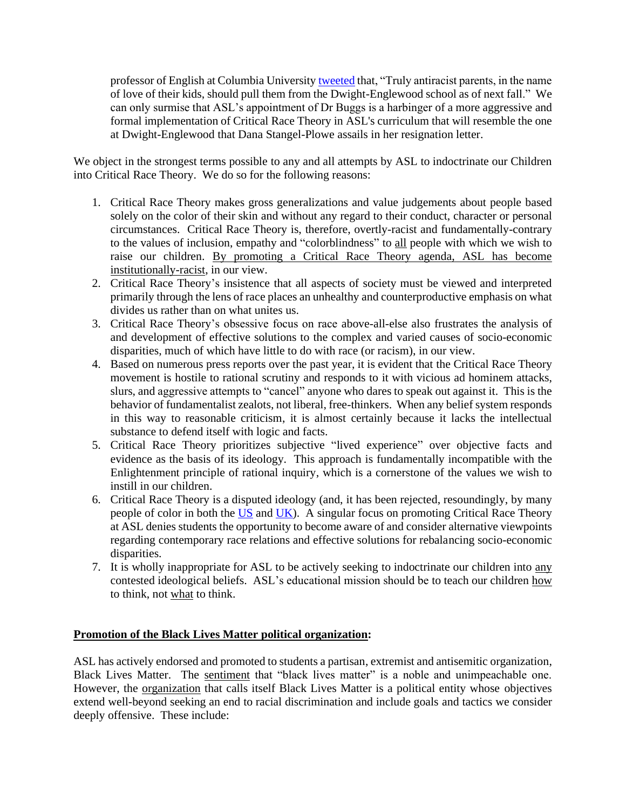professor of English at Columbia Universit[y tweeted](https://twitter.com/JohnHMcWhorter/status/1402379196685557760?s=20) that, "Truly antiracist parents, in the name of love of their kids, should pull them from the Dwight-Englewood school as of next fall." We can only surmise that ASL's appointment of Dr Buggs is a harbinger of a more aggressive and formal implementation of Critical Race Theory in ASL's curriculum that will resemble the one at Dwight-Englewood that Dana Stangel-Plowe assails in her resignation letter.

We object in the strongest terms possible to any and all attempts by ASL to indoctrinate our Children into Critical Race Theory. We do so for the following reasons:

- 1. Critical Race Theory makes gross generalizations and value judgements about people based solely on the color of their skin and without any regard to their conduct, character or personal circumstances. Critical Race Theory is, therefore, overtly-racist and fundamentally-contrary to the values of inclusion, empathy and "colorblindness" to all people with which we wish to raise our children. By promoting a Critical Race Theory agenda, ASL has become institutionally-racist, in our view.
- 2. Critical Race Theory's insistence that all aspects of society must be viewed and interpreted primarily through the lens of race places an unhealthy and counterproductive emphasis on what divides us rather than on what unites us.
- 3. Critical Race Theory's obsessive focus on race above-all-else also frustrates the analysis of and development of effective solutions to the complex and varied causes of socio-economic disparities, much of which have little to do with race (or racism), in our view.
- 4. Based on numerous press reports over the past year, it is evident that the Critical Race Theory movement is hostile to rational scrutiny and responds to it with vicious ad hominem attacks, slurs, and aggressive attempts to "cancel" anyone who dares to speak out against it. This is the behavior of fundamentalist zealots, not liberal, free-thinkers. When any belief system responds in this way to reasonable criticism, it is almost certainly because it lacks the intellectual substance to defend itself with logic and facts.
- 5. Critical Race Theory prioritizes subjective "lived experience" over objective facts and evidence as the basis of its ideology. This approach is fundamentally incompatible with the Enlightenment principle of rational inquiry, which is a cornerstone of the values we wish to instill in our children.
- 6. Critical Race Theory is a disputed ideology (and, it has been rejected, resoundingly, by many people of color in both the [US](https://www.youtube.com/watch?v=ZuvhrXM3v7U) and [UK\)](https://www.telegraph.co.uk/news/2020/10/01/beware-critical-race-theory-divisive-ideology-infiltrating/). A singular focus on promoting Critical Race Theory at ASL denies students the opportunity to become aware of and consider alternative viewpoints regarding contemporary race relations and effective solutions for rebalancing socio-economic disparities.
- 7. It is wholly inappropriate for ASL to be actively seeking to indoctrinate our children into any contested ideological beliefs. ASL's educational mission should be to teach our children how to think, not what to think.

# **Promotion of the Black Lives Matter political organization:**

ASL has actively endorsed and promoted to students a partisan, extremist and antisemitic organization, Black Lives Matter. The sentiment that "black lives matter" is a noble and unimpeachable one. However, the organization that calls itself Black Lives Matter is a political entity whose objectives extend well-beyond seeking an end to racial discrimination and include goals and tactics we consider deeply offensive. These include: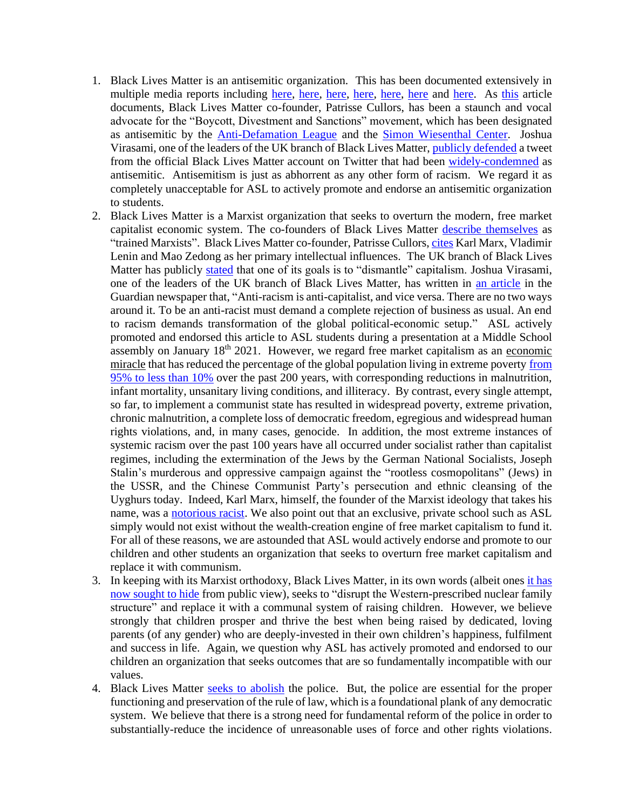- 1. Black Lives Matter is an antisemitic organization. This has been documented extensively in multiple media reports including [here,](https://www.glamourmagazine.co.uk/article/black-lives-matter-antisemitic-tweet) [here,](https://www.jns.org/the-black-lives-matter-movement-and-anti-semitism/) [here,](https://unherd.com/2020/07/how-anti-semitic-is-blm/) [here,](https://www.telegraph.co.uk/women/politics/black-lives-matter-protests-catalyst-anti-semitism/) [here,](https://www.spectator.co.uk/article/blm-should-look-to-martin-luther-king-not-malcolm-x-for-inspiration) [here](https://cherwell.org/2020/06/30/black-lives-matter-oxford-faces-anti-semitism-concerns/) and [here.](https://www.haaretz.com/israel-news/jewish-allies-condemn-black-lives-matters-apartheid-platform-1.5421194) As [this](https://www.jns.org/the-black-lives-matter-movement-and-anti-semitism/) article documents, Black Lives Matter co-founder, Patrisse Cullors, has been a staunch and vocal advocate for the "Boycott, Divestment and Sanctions" movement, which has been designated as antisemitic by the **Anti-Defamation League** and the **Simon Wiesenthal Center**. Joshua Virasami, one of the leaders of the UK branch of Black Lives Matter, [publicly defended](https://www.thejc.com/news/uk/blm-leader-defends-gagged-of-right-to-critique-zionism-tweet-1.507634) a tweet from the official Black Lives Matter account on Twitter that had been [widely-condemned](https://www.jpost.com/diaspora/antisemitism/jewish-watchdog-calls-out-black-lives-matter-for-anti-israel-tweets-633146) as antisemitic. Antisemitism is just as abhorrent as any other form of racism. We regard it as completely unacceptable for ASL to actively promote and endorse an antisemitic organization to students.
- 2. Black Lives Matter is a Marxist organization that seeks to overturn the modern, free market capitalist economic system. The co-founders of Black Lives Matter [describe themselves](https://www.youtube.com/watch?v=kCghDx5qN4s) as "trained Marxists". Black Lives Matter co-founder, Patrisse Cullors[, cites](https://time.com/5171270/black-lives-matter-patrisse-cullors/) Karl Marx, Vladimir Lenin and Mao Zedong as her primary intellectual influences. The UK branch of Black Lives Matter has publicly [stated](https://uk.gofundme.com/f/ukblm-fund) that one of its goals is to "dismantle" capitalism. Joshua Virasami, one of the leaders of the UK branch of Black Lives Matter, has written in [an article](https://www.theguardian.com/commentisfree/2020/jun/08/non-racist-isnt-enough-action-george-floyd-death) in the Guardian newspaper that, "Anti-racism is anti-capitalist, and vice versa. There are no two ways around it. To be an anti-racist must demand a complete rejection of business as usual. An end to racism demands transformation of the global political-economic setup." ASL actively promoted and endorsed this article to ASL students during a presentation at a Middle School assembly on January  $18<sup>th</sup> 2021$ . However, we regard free market capitalism as an economic miracle that has reduced the percentage of the global population living in extreme povert[y from](https://ourworldindata.org/extreme-history-methods)  [95% to less than 10%](https://ourworldindata.org/extreme-history-methods) over the past 200 years, with corresponding reductions in malnutrition, infant mortality, unsanitary living conditions, and illiteracy. By contrast, every single attempt, so far, to implement a communist state has resulted in widespread poverty, extreme privation, chronic malnutrition, a complete loss of democratic freedom, egregious and widespread human rights violations, and, in many cases, genocide. In addition, the most extreme instances of systemic racism over the past 100 years have all occurred under socialist rather than capitalist regimes, including the extermination of the Jews by the German National Socialists, Joseph Stalin's murderous and oppressive campaign against the "rootless cosmopolitans" (Jews) in the USSR, and the Chinese Communist Party's persecution and ethnic cleansing of the Uyghurs today. Indeed, Karl Marx, himself, the founder of the Marxist ideology that takes his name, was a [notorious racist.](https://www.dailysignal.com/2017/05/10/ugly-racism-karl-marx/) We also point out that an exclusive, private school such as ASL simply would not exist without the wealth-creation engine of free market capitalism to fund it. For all of these reasons, we are astounded that ASL would actively endorse and promote to our children and other students an organization that seeks to overturn free market capitalism and replace it with communism.
- 3. In keeping with its Marxist orthodoxy, Black Lives Matter, in its own words (albeit one[s it has](https://nypost.com/2020/09/24/blm-removes-website-language-blasting-nuclear-family-structure/)  [now sought to hide](https://nypost.com/2020/09/24/blm-removes-website-language-blasting-nuclear-family-structure/) from public view), seeks to "disrupt the Western-prescribed nuclear family structure" and replace it with a communal system of raising children. However, we believe strongly that children prosper and thrive the best when being raised by dedicated, loving parents (of any gender) who are deeply-invested in their own children's happiness, fulfilment and success in life. Again, we question why ASL has actively promoted and endorsed to our children an organization that seeks outcomes that are so fundamentally incompatible with our values.
- 4. Black Lives Matter [seeks to abolish](https://www.wbur.org/hereandnow/2020/07/17/black-lives-matter-activist) the police. But, the police are essential for the proper functioning and preservation of the rule of law, which is a foundational plank of any democratic system. We believe that there is a strong need for fundamental reform of the police in order to substantially-reduce the incidence of unreasonable uses of force and other rights violations.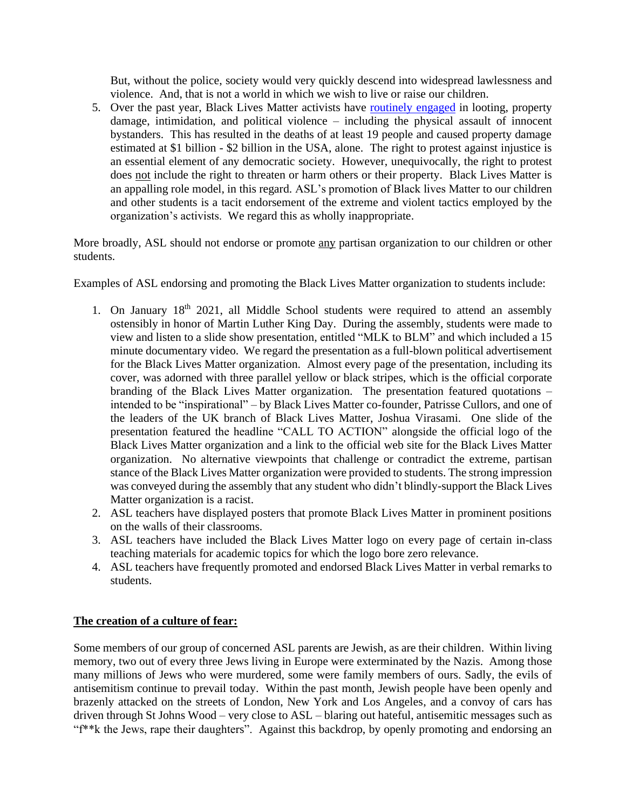But, without the police, society would very quickly descend into widespread lawlessness and violence. And, that is not a world in which we wish to live or raise our children.

5. Over the past year, Black Lives Matter activists have [routinely](https://en.wikipedia.org/wiki/Violence_and_controversies_during_the_George_Floyd_protests#Estimated_financial_costs) engaged in looting, property damage, intimidation, and political violence – including the physical assault of innocent bystanders. This has resulted in the deaths of at least 19 people and caused property damage estimated at \$1 billion - \$2 billion in the USA, alone. The right to protest against injustice is an essential element of any democratic society. However, unequivocally, the right to protest does not include the right to threaten or harm others or their property. Black Lives Matter is an appalling role model, in this regard. ASL's promotion of Black lives Matter to our children and other students is a tacit endorsement of the extreme and violent tactics employed by the organization's activists. We regard this as wholly inappropriate.

More broadly, ASL should not endorse or promote any partisan organization to our children or other students.

Examples of ASL endorsing and promoting the Black Lives Matter organization to students include:

- 1. On January  $18<sup>th</sup>$  2021, all Middle School students were required to attend an assembly ostensibly in honor of Martin Luther King Day. During the assembly, students were made to view and listen to a slide show presentation, entitled "MLK to BLM" and which included a 15 minute documentary video. We regard the presentation as a full-blown political advertisement for the Black Lives Matter organization. Almost every page of the presentation, including its cover, was adorned with three parallel yellow or black stripes, which is the official corporate branding of the Black Lives Matter organization. The presentation featured quotations – intended to be "inspirational" – by Black Lives Matter co-founder, Patrisse Cullors, and one of the leaders of the UK branch of Black Lives Matter, Joshua Virasami. One slide of the presentation featured the headline "CALL TO ACTION" alongside the official logo of the Black Lives Matter organization and a link to the official web site for the Black Lives Matter organization. No alternative viewpoints that challenge or contradict the extreme, partisan stance of the Black Lives Matter organization were provided to students. The strong impression was conveyed during the assembly that any student who didn't blindly-support the Black Lives Matter organization is a racist.
- 2. ASL teachers have displayed posters that promote Black Lives Matter in prominent positions on the walls of their classrooms.
- 3. ASL teachers have included the Black Lives Matter logo on every page of certain in-class teaching materials for academic topics for which the logo bore zero relevance.
- 4. ASL teachers have frequently promoted and endorsed Black Lives Matter in verbal remarks to students.

# **The creation of a culture of fear:**

Some members of our group of concerned ASL parents are Jewish, as are their children. Within living memory, two out of every three Jews living in Europe were exterminated by the Nazis. Among those many millions of Jews who were murdered, some were family members of ours. Sadly, the evils of antisemitism continue to prevail today. Within the past month, Jewish people have been openly and brazenly attacked on the streets of London, New York and Los Angeles, and a convoy of cars has driven through St Johns Wood – very close to ASL – blaring out hateful, antisemitic messages such as "f\*\*k the Jews, rape their daughters". Against this backdrop, by openly promoting and endorsing an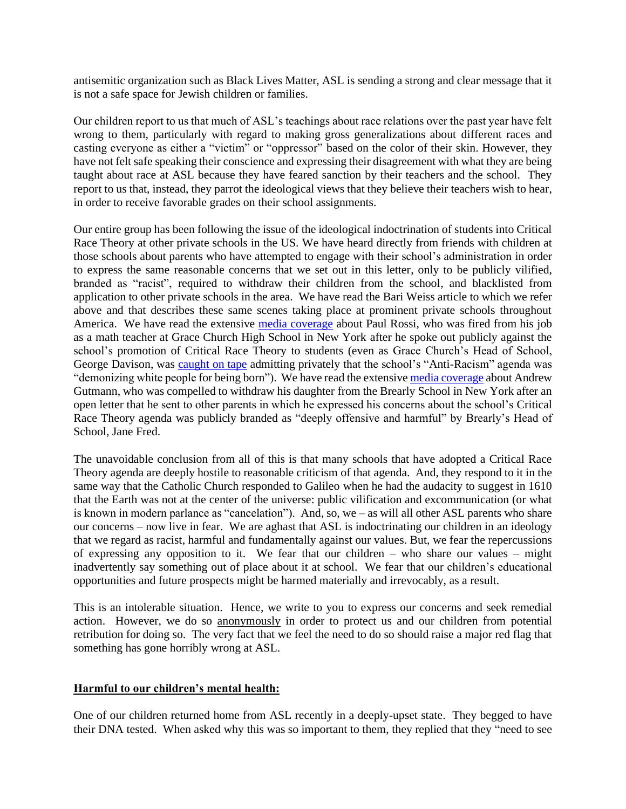antisemitic organization such as Black Lives Matter, ASL is sending a strong and clear message that it is not a safe space for Jewish children or families.

Our children report to us that much of ASL's teachings about race relations over the past year have felt wrong to them, particularly with regard to making gross generalizations about different races and casting everyone as either a "victim" or "oppressor" based on the color of their skin. However, they have not felt safe speaking their conscience and expressing their disagreement with what they are being taught about race at ASL because they have feared sanction by their teachers and the school. They report to us that, instead, they parrot the ideological views that they believe their teachers wish to hear, in order to receive favorable grades on their school assignments.

Our entire group has been following the issue of the ideological indoctrination of students into Critical Race Theory at other private schools in the US. We have heard directly from friends with children at those schools about parents who have attempted to engage with their school's administration in order to express the same reasonable concerns that we set out in this letter, only to be publicly vilified, branded as "racist", required to withdraw their children from the school, and blacklisted from application to other private schools in the area. We have read the Bari Weiss article to which we refer above and that describes these same scenes taking place at prominent private schools throughout America. We have read the extensive [media coverage](https://www.dailymail.co.uk/news/article-9488301/Math-teacher-woke-NYC-school-fired-speaking-against-schools-anti-racism-curriculum.html) about Paul Rossi, who was fired from his job as a math teacher at Grace Church High School in New York after he spoke out publicly against the school's promotion of Critical Race Theory to students (even as Grace Church's Head of School, George Davison, was [caught on tape](https://www.newsweek.com/audio-shows-grace-church-head-teacher-admitting-were-demonizing-white-people-being-born-1585069) admitting privately that the school's "Anti-Racism" agenda was "demonizing white people for being born"). We have read the extensiv[e media coverage](https://nypost.com/2021/05/08/brearley-dad-urges-parents-to-fight-antiracism-in-schools/) about Andrew Gutmann, who was compelled to withdraw his daughter from the Brearly School in New York after an open letter that he sent to other parents in which he expressed his concerns about the school's Critical Race Theory agenda was publicly branded as "deeply offensive and harmful" by Brearly's Head of School, Jane Fred.

The unavoidable conclusion from all of this is that many schools that have adopted a Critical Race Theory agenda are deeply hostile to reasonable criticism of that agenda. And, they respond to it in the same way that the Catholic Church responded to Galileo when he had the audacity to suggest in 1610 that the Earth was not at the center of the universe: public vilification and excommunication (or what is known in modern parlance as "cancelation"). And, so, we – as will all other ASL parents who share our concerns – now live in fear. We are aghast that ASL is indoctrinating our children in an ideology that we regard as racist, harmful and fundamentally against our values. But, we fear the repercussions of expressing any opposition to it. We fear that our children – who share our values – might inadvertently say something out of place about it at school. We fear that our children's educational opportunities and future prospects might be harmed materially and irrevocably, as a result.

This is an intolerable situation. Hence, we write to you to express our concerns and seek remedial action. However, we do so anonymously in order to protect us and our children from potential retribution for doing so. The very fact that we feel the need to do so should raise a major red flag that something has gone horribly wrong at ASL.

# **Harmful to our children's mental health:**

One of our children returned home from ASL recently in a deeply-upset state. They begged to have their DNA tested. When asked why this was so important to them, they replied that they "need to see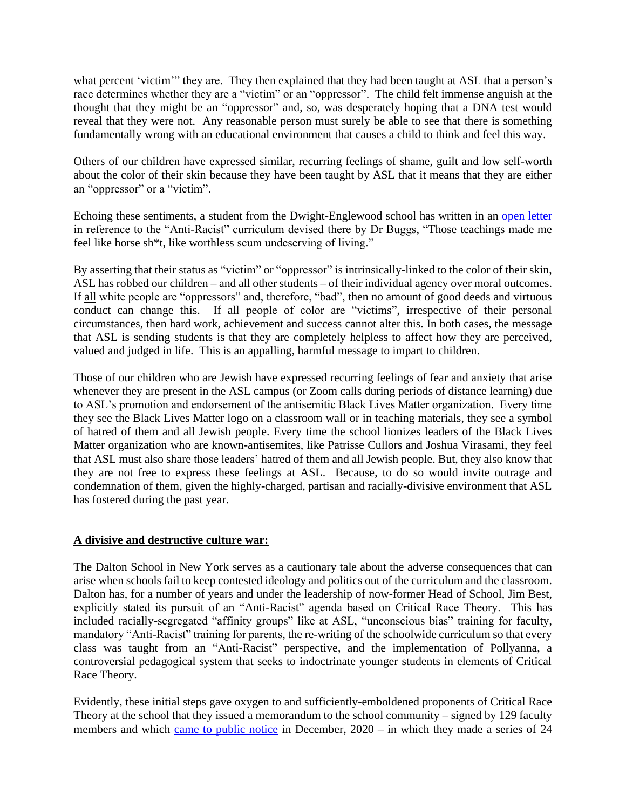what percent 'victim'" they are. They then explained that they had been taught at ASL that a person's race determines whether they are a "victim" or an "oppressor". The child felt immense anguish at the thought that they might be an "oppressor" and, so, was desperately hoping that a DNA test would reveal that they were not. Any reasonable person must surely be able to see that there is something fundamentally wrong with an educational environment that causes a child to think and feel this way.

Others of our children have expressed similar, recurring feelings of shame, guilt and low self-worth about the color of their skin because they have been taught by ASL that it means that they are either an "oppressor" or a "victim".

Echoing these sentiments, a student from the Dwight-Englewood school has written in an [open letter](https://www.fairforall.org/wp-content/uploads/2021/06/student-letter-to-dana-stangel-plowe-4.pdf) in reference to the "Anti-Racist" curriculum devised there by Dr Buggs, "Those teachings made me feel like horse sh\*t, like worthless scum undeserving of living."

By asserting that their status as "victim" or "oppressor" is intrinsically-linked to the color of their skin, ASL has robbed our children – and all other students – of their individual agency over moral outcomes. If all white people are "oppressors" and, therefore, "bad", then no amount of good deeds and virtuous conduct can change this. If all people of color are "victims", irrespective of their personal circumstances, then hard work, achievement and success cannot alter this. In both cases, the message that ASL is sending students is that they are completely helpless to affect how they are perceived, valued and judged in life. This is an appalling, harmful message to impart to children.

Those of our children who are Jewish have expressed recurring feelings of fear and anxiety that arise whenever they are present in the ASL campus (or Zoom calls during periods of distance learning) due to ASL's promotion and endorsement of the antisemitic Black Lives Matter organization. Every time they see the Black Lives Matter logo on a classroom wall or in teaching materials, they see a symbol of hatred of them and all Jewish people. Every time the school lionizes leaders of the Black Lives Matter organization who are known-antisemites, like Patrisse Cullors and Joshua Virasami, they feel that ASL must also share those leaders' hatred of them and all Jewish people. But, they also know that they are not free to express these feelings at ASL. Because, to do so would invite outrage and condemnation of them, given the highly-charged, partisan and racially-divisive environment that ASL has fostered during the past year.

# **A divisive and destructive culture war:**

The Dalton School in New York serves as a cautionary tale about the adverse consequences that can arise when schools fail to keep contested ideology and politics out of the curriculum and the classroom. Dalton has, for a number of years and under the leadership of now-former Head of School, Jim Best, explicitly stated its pursuit of an "Anti-Racist" agenda based on Critical Race Theory. This has included racially-segregated "affinity groups" like at ASL, "unconscious bias" training for faculty, mandatory "Anti-Racist" training for parents, the re-writing of the schoolwide curriculum so that every class was taught from an "Anti-Racist" perspective, and the implementation of Pollyanna, a controversial pedagogical system that seeks to indoctrinate younger students in elements of Critical Race Theory.

Evidently, these initial steps gave oxygen to and sufficiently-emboldened proponents of Critical Race Theory at the school that they issued a memorandum to the school community – signed by 129 faculty members and which [came to public notice](https://www.dailymail.co.uk/news/article-9072155/Parents-Dalton-School-balk-staffs-eight-page-list-anti-racist-demands.html) in December, 2020 – in which they made a series of 24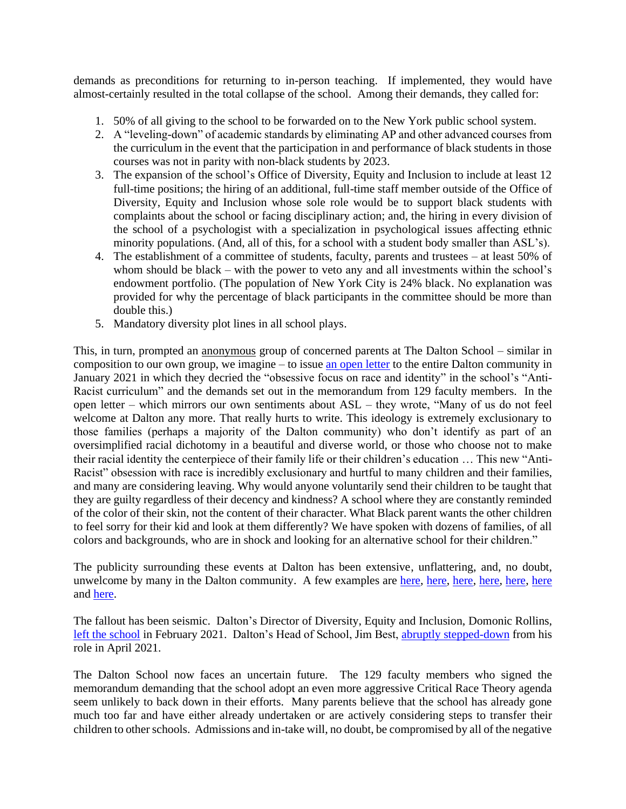demands as preconditions for returning to in-person teaching. If implemented, they would have almost-certainly resulted in the total collapse of the school. Among their demands, they called for:

- 1. 50% of all giving to the school to be forwarded on to the New York public school system.
- 2. A "leveling-down" of academic standards by eliminating AP and other advanced courses from the curriculum in the event that the participation in and performance of black students in those courses was not in parity with non-black students by 2023.
- 3. The expansion of the school's Office of Diversity, Equity and Inclusion to include at least 12 full-time positions; the hiring of an additional, full-time staff member outside of the Office of Diversity, Equity and Inclusion whose sole role would be to support black students with complaints about the school or facing disciplinary action; and, the hiring in every division of the school of a psychologist with a specialization in psychological issues affecting ethnic minority populations. (And, all of this, for a school with a student body smaller than ASL's).
- 4. The establishment of a committee of students, faculty, parents and trustees at least 50% of whom should be black – with the power to veto any and all investments within the school's endowment portfolio. (The population of New York City is 24% black. No explanation was provided for why the percentage of black participants in the committee should be more than double this.)
- 5. Mandatory diversity plot lines in all school plays.

This, in turn, prompted an anonymous group of concerned parents at The Dalton School – similar in composition to our own group, we imagine – to issue [an open letter](https://nypost.com/2021/01/30/dalton-school-parents-fight-anti-racism-agenda-in-open-letter/) to the entire Dalton community in January 2021 in which they decried the "obsessive focus on race and identity" in the school's "Anti-Racist curriculum" and the demands set out in the memorandum from 129 faculty members. In the open letter – which mirrors our own sentiments about ASL – they wrote, "Many of us do not feel welcome at Dalton any more. That really hurts to write. This ideology is extremely exclusionary to those families (perhaps a majority of the Dalton community) who don't identify as part of an oversimplified racial dichotomy in a beautiful and diverse world, or those who choose not to make their racial identity the centerpiece of their family life or their children's education … This new "Anti-Racist" obsession with race is incredibly exclusionary and hurtful to many children and their families, and many are considering leaving. Why would anyone voluntarily send their children to be taught that they are guilty regardless of their decency and kindness? A school where they are constantly reminded of the color of their skin, not the content of their character. What Black parent wants the other children to feel sorry for their kid and look at them differently? We have spoken with dozens of families, of all colors and backgrounds, who are in shock and looking for an alternative school for their children."

The publicity surrounding these events at Dalton has been extensive, unflattering, and, no doubt, unwelcome by many in the Dalton community. A few examples are [here,](https://www.vanityfair.com/news/2021/04/inside-the-antiracism-tug-of-war-at-an-elite-nyc-private-school) [here,](https://www.theatlantic.com/ideas/archive/2021/01/when-antiracist-manifestos-become-antiracist-wrecking-balls/617841/) [here,](https://nypost.com/2020/12/19/faculty-at-nycs-dalton-school-issues-8-page-anti-racism-manifesto/) [here,](https://nypost.com/2021/01/30/dalton-school-parents-fight-anti-racism-agenda-in-open-letter/) [here,](https://www.wsj.com/articles/revolution-consumes-new-yorks-elite-dalton-school-11609284049) [here](https://airmail.news/issues/2021-2-27/class-war) and [here.](https://www.city-journal.org/nyc-prep-school-admins-adopt-questionable-anti-racism-curriculum)

The fallout has been seismic. Dalton's Director of Diversity, Equity and Inclusion, Domonic Rollins, [left the school](https://nypost.com/2021/02/27/nyc-dalton-schools-head-of-diversity-is-leaving-post/) in February 2021. Dalton's Head of School, Jim Best, [abruptly stepped-down](https://www.thetimes.co.uk/article/jim-best-head-of-elite-manhattan-school-dalton-quits-in-race-row-8t3rghrvz) from his role in April 2021.

The Dalton School now faces an uncertain future. The 129 faculty members who signed the memorandum demanding that the school adopt an even more aggressive Critical Race Theory agenda seem unlikely to back down in their efforts. Many parents believe that the school has already gone much too far and have either already undertaken or are actively considering steps to transfer their children to other schools. Admissions and in-take will, no doubt, be compromised by all of the negative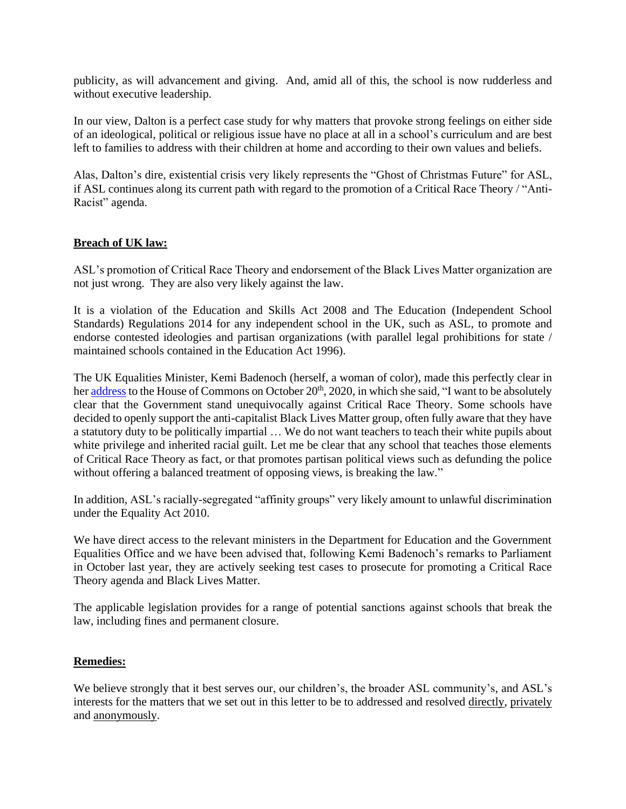publicity, as will advancement and giving. And, amid all of this, the school is now rudderless and without executive leadership.

In our view, Dalton is a perfect case study for why matters that provoke strong feelings on either side of an ideological, political or religious issue have no place at all in a school's curriculum and are best left to families to address with their children at home and according to their own values and beliefs.

Alas, Dalton's dire, existential crisis very likely represents the "Ghost of Christmas Future" for ASL, if ASL continues along its current path with regard to the promotion of a Critical Race Theory / "Anti-Racist" agenda.

### **Breach of UK law:**

ASL's promotion of Critical Race Theory and endorsement of the Black Lives Matter organization are not just wrong. They are also very likely against the law.

It is a violation of the Education and Skills Act 2008 and The Education (Independent School Standards) Regulations 2014 for any independent school in the UK, such as ASL, to promote and endorse contested ideologies and partisan organizations (with parallel legal prohibitions for state / maintained schools contained in the Education Act 1996).

The UK Equalities Minister, Kemi Badenoch (herself, a woman of color), made this perfectly clear in her [address](https://www.youtube.com/watch?v=8LHXSgmmhuk) to the House of Commons on October 20<sup>th</sup>, 2020, in which she said, "I want to be absolutely clear that the Government stand unequivocally against Critical Race Theory. Some schools have decided to openly support the anti-capitalist Black Lives Matter group, often fully aware that they have a statutory duty to be politically impartial … We do not want teachers to teach their white pupils about white privilege and inherited racial guilt. Let me be clear that any school that teaches those elements of Critical Race Theory as fact, or that promotes partisan political views such as defunding the police without offering a balanced treatment of opposing views, is breaking the law."

In addition, ASL's racially-segregated "affinity groups" very likely amount to unlawful discrimination under the Equality Act 2010.

We have direct access to the relevant ministers in the Department for Education and the Government Equalities Office and we have been advised that, following Kemi Badenoch's remarks to Parliament in October last year, they are actively seeking test cases to prosecute for promoting a Critical Race Theory agenda and Black Lives Matter.

The applicable legislation provides for a range of potential sanctions against schools that break the law, including fines and permanent closure.

### **Remedies:**

We believe strongly that it best serves our, our children's, the broader ASL community's, and ASL's interests for the matters that we set out in this letter to be to addressed and resolved directly, privately and anonymously.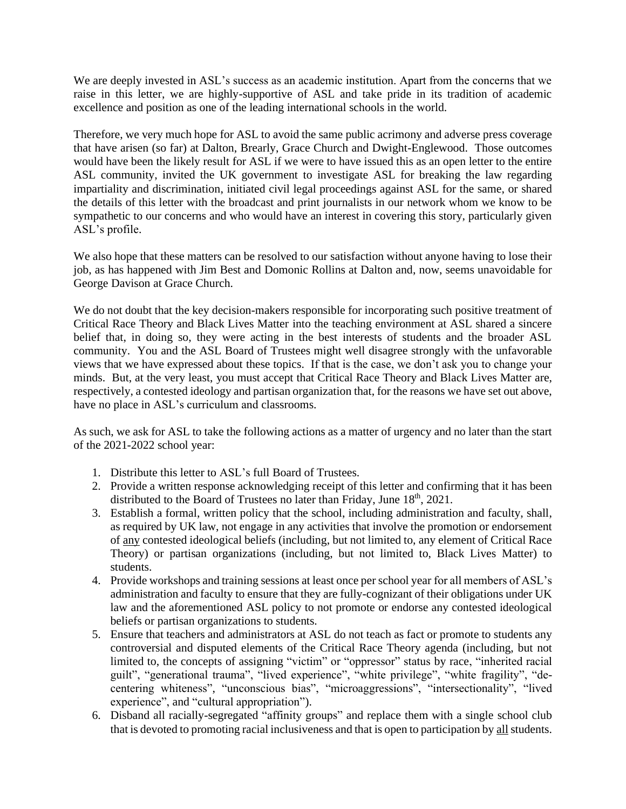We are deeply invested in ASL's success as an academic institution. Apart from the concerns that we raise in this letter, we are highly-supportive of ASL and take pride in its tradition of academic excellence and position as one of the leading international schools in the world.

Therefore, we very much hope for ASL to avoid the same public acrimony and adverse press coverage that have arisen (so far) at Dalton, Brearly, Grace Church and Dwight-Englewood. Those outcomes would have been the likely result for ASL if we were to have issued this as an open letter to the entire ASL community, invited the UK government to investigate ASL for breaking the law regarding impartiality and discrimination, initiated civil legal proceedings against ASL for the same, or shared the details of this letter with the broadcast and print journalists in our network whom we know to be sympathetic to our concerns and who would have an interest in covering this story, particularly given ASL's profile.

We also hope that these matters can be resolved to our satisfaction without anyone having to lose their job, as has happened with Jim Best and Domonic Rollins at Dalton and, now, seems unavoidable for George Davison at Grace Church.

We do not doubt that the key decision-makers responsible for incorporating such positive treatment of Critical Race Theory and Black Lives Matter into the teaching environment at ASL shared a sincere belief that, in doing so, they were acting in the best interests of students and the broader ASL community. You and the ASL Board of Trustees might well disagree strongly with the unfavorable views that we have expressed about these topics. If that is the case, we don't ask you to change your minds. But, at the very least, you must accept that Critical Race Theory and Black Lives Matter are, respectively, a contested ideology and partisan organization that, for the reasons we have set out above, have no place in ASL's curriculum and classrooms.

As such, we ask for ASL to take the following actions as a matter of urgency and no later than the start of the 2021-2022 school year:

- 1. Distribute this letter to ASL's full Board of Trustees.
- 2. Provide a written response acknowledging receipt of this letter and confirming that it has been distributed to the Board of Trustees no later than Friday, June  $18<sup>th</sup>$ , 2021.
- 3. Establish a formal, written policy that the school, including administration and faculty, shall, as required by UK law, not engage in any activities that involve the promotion or endorsement of any contested ideological beliefs (including, but not limited to, any element of Critical Race Theory) or partisan organizations (including, but not limited to, Black Lives Matter) to students.
- 4. Provide workshops and training sessions at least once per school year for all members of ASL's administration and faculty to ensure that they are fully-cognizant of their obligations under UK law and the aforementioned ASL policy to not promote or endorse any contested ideological beliefs or partisan organizations to students.
- 5. Ensure that teachers and administrators at ASL do not teach as fact or promote to students any controversial and disputed elements of the Critical Race Theory agenda (including, but not limited to, the concepts of assigning "victim" or "oppressor" status by race, "inherited racial guilt", "generational trauma", "lived experience", "white privilege", "white fragility", "decentering whiteness", "unconscious bias", "microaggressions", "intersectionality", "lived experience", and "cultural appropriation").
- 6. Disband all racially-segregated "affinity groups" and replace them with a single school club that is devoted to promoting racial inclusiveness and that is open to participation by all students.